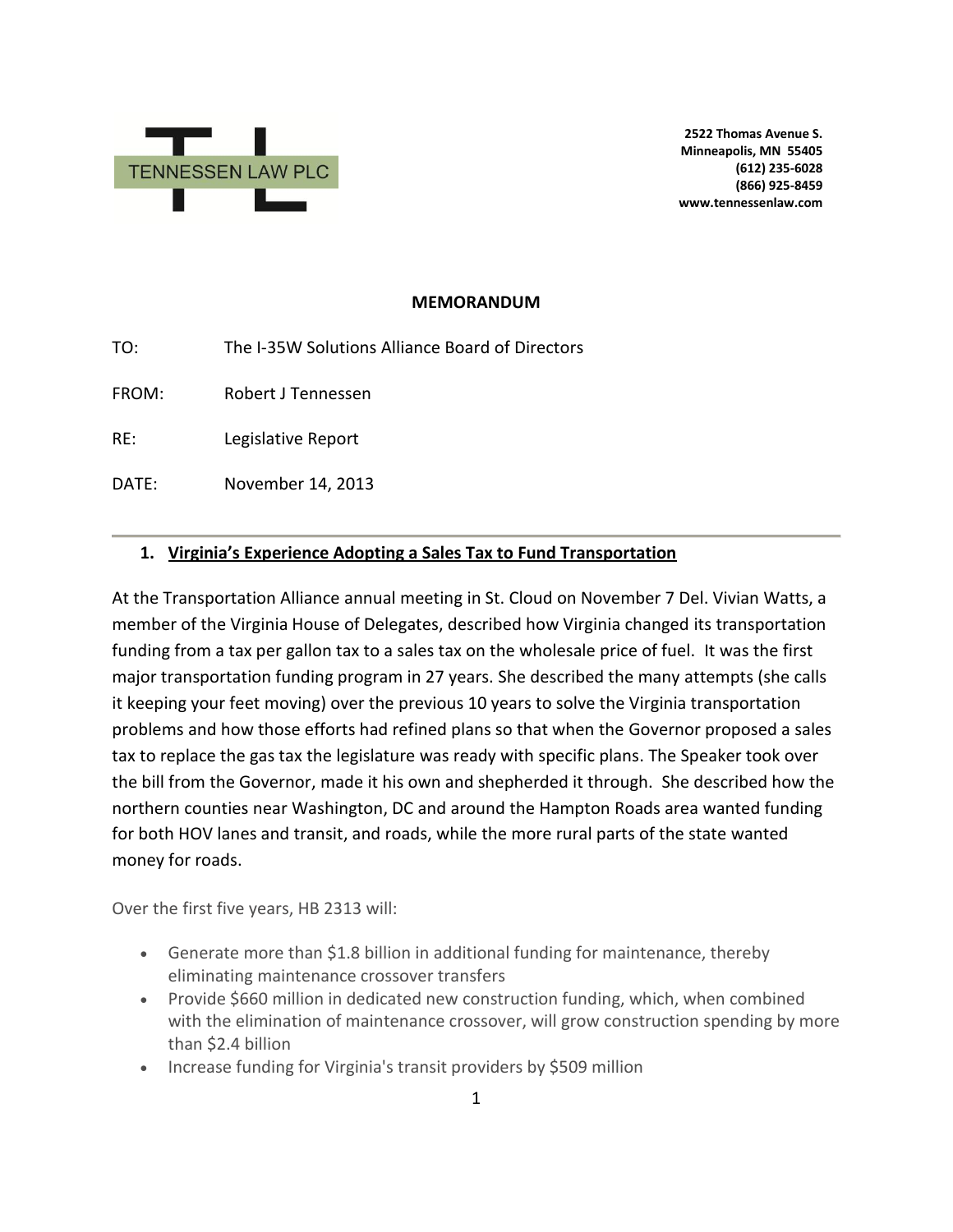

**2522 Thomas Avenue S. Minneapolis, MN 55405 (612) 235-6028 (866) 925-8459 www.tennessenlaw.com**

#### **MEMORANDUM**

TO: The I-35W Solutions Alliance Board of Directors

FROM: Robert J Tennessen

RE: Legislative Report

DATE: November 14, 2013

#### **1. Virginia's Experience Adopting a Sales Tax to Fund Transportation**

At the Transportation Alliance annual meeting in St. Cloud on November 7 Del. Vivian Watts, a member of the Virginia House of Delegates, described how Virginia changed its transportation funding from a tax per gallon tax to a sales tax on the wholesale price of fuel. It was the first major transportation funding program in 27 years. She described the many attempts (she calls it keeping your feet moving) over the previous 10 years to solve the Virginia transportation problems and how those efforts had refined plans so that when the Governor proposed a sales tax to replace the gas tax the legislature was ready with specific plans. The Speaker took over the bill from the Governor, made it his own and shepherded it through. She described how the northern counties near Washington, DC and around the Hampton Roads area wanted funding for both HOV lanes and transit, and roads, while the more rural parts of the state wanted money for roads.

Over the first five years, HB 2313 will:

- Generate more than \$1.8 billion in additional funding for maintenance, thereby eliminating maintenance crossover transfers
- Provide \$660 million in dedicated new construction funding, which, when combined with the elimination of maintenance crossover, will grow construction spending by more than \$2.4 billion
- Increase funding for Virginia's transit providers by \$509 million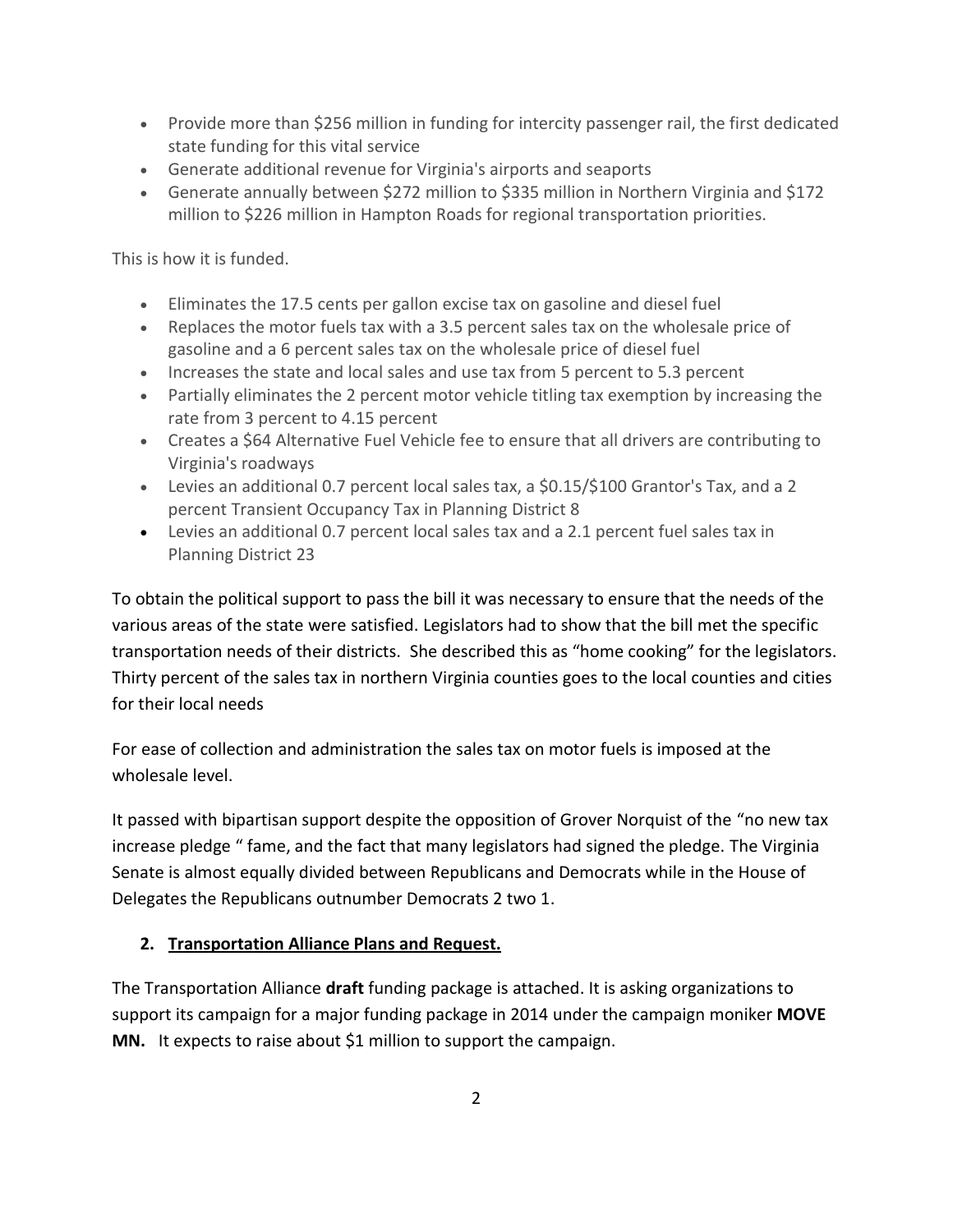- Provide more than \$256 million in funding for intercity passenger rail, the first dedicated state funding for this vital service
- Generate additional revenue for Virginia's airports and seaports
- Generate annually between \$272 million to \$335 million in Northern Virginia and \$172 million to \$226 million in Hampton Roads for regional transportation priorities.

This is how it is funded.

- Eliminates the 17.5 cents per gallon excise tax on gasoline and diesel fuel
- Replaces the motor fuels tax with a 3.5 percent sales tax on the wholesale price of gasoline and a 6 percent sales tax on the wholesale price of diesel fuel
- Increases the state and local sales and use tax from 5 percent to 5.3 percent
- Partially eliminates the 2 percent motor vehicle titling tax exemption by increasing the rate from 3 percent to 4.15 percent
- Creates a \$64 Alternative Fuel Vehicle fee to ensure that all drivers are contributing to Virginia's roadways
- Levies an additional 0.7 percent local sales tax, a \$0.15/\$100 Grantor's Tax, and a 2 percent Transient Occupancy Tax in Planning District 8
- Levies an additional 0.7 percent local sales tax and a 2.1 percent fuel sales tax in Planning District 23

To obtain the political support to pass the bill it was necessary to ensure that the needs of the various areas of the state were satisfied. Legislators had to show that the bill met the specific transportation needs of their districts. She described this as "home cooking" for the legislators. Thirty percent of the sales tax in northern Virginia counties goes to the local counties and cities for their local needs

For ease of collection and administration the sales tax on motor fuels is imposed at the wholesale level.

It passed with bipartisan support despite the opposition of Grover Norquist of the "no new tax increase pledge " fame, and the fact that many legislators had signed the pledge. The Virginia Senate is almost equally divided between Republicans and Democrats while in the House of Delegates the Republicans outnumber Democrats 2 two 1.

## **2. Transportation Alliance Plans and Request.**

The Transportation Alliance **draft** funding package is attached. It is asking organizations to support its campaign for a major funding package in 2014 under the campaign moniker **MOVE MN.** It expects to raise about \$1 million to support the campaign.